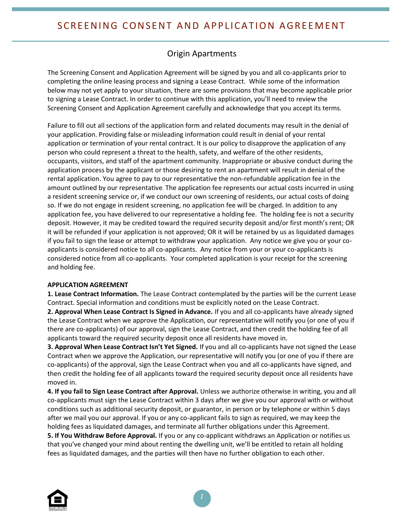## Origin Apartments

The Screening Consent and Application Agreement will be signed by you and all co-applicants prior to completing the online leasing process and signing a Lease Contract. While some of the information below may not yet apply to your situation, there are some provisions that may become applicable prior to signing a Lease Contract. In order to continue with this application, you'll need to review the Screening Consent and Application Agreement carefully and acknowledge that you accept its terms.

Failure to fill out all sections of the application form and related documents may result in the denial of your application. Providing false or misleading information could result in denial of your rental application or termination of your rental contract. It is our policy to disapprove the application of any person who could represent a threat to the health, safety, and welfare of the other residents, occupants, visitors, and staff of the apartment community. Inappropriate or abusive conduct during the application process by the applicant or those desiring to rent an apartment will result in denial of the rental application. You agree to pay to our representative the non-refundable application fee in the amount outlined by our representative. The application fee represents our actual costs incurred in using a resident screening service or, if we conduct our own screening of residents, our actual costs of doing so. If we do not engage in resident screening, no application fee will be charged. In addition to any application fee, you have delivered to our representative a holding fee. The holding fee is not a security deposit. However, it may be credited toward the required security deposit and/or first month's rent; OR it will be refunded if your application is not approved; OR it will be retained by us as liquidated damages if you fail to sign the lease or attempt to withdraw your application. Any notice we give you or your coapplicants is considered notice to all co-applicants. Any notice from your or your co-applicants is considered notice from all co-applicants. Your completed application is your receipt for the screening and holding fee.

## **APPLICATION AGREEMENT**

**1. Lease Contract Information.** The Lease Contract contemplated by the parties will be the current Lease Contract. Special information and conditions must be explicitly noted on the Lease Contract.

**2. Approval When Lease Contract Is Signed in Advance.** If you and all co-applicants have already signed the Lease Contract when we approve the Application, our representative will notify you (or one of you if there are co-applicants) of our approval, sign the Lease Contract, and then credit the holding fee of all applicants toward the required security deposit once all residents have moved in.

**3. Approval When Lease Contract Isn't Yet Signed.** If you and all co-applicants have not signed the Lease Contract when we approve the Application, our representative will notify you (or one of you if there are co-applicants) of the approval, sign the Lease Contract when you and all co-applicants have signed, and then credit the holding fee of all applicants toward the required security deposit once all residents have moved in.

**4. If you fail to Sign Lease Contract after Approval.** Unless we authorize otherwise in writing, you and all co-applicants must sign the Lease Contract within 3 days after we give you our approval with or without conditions such as additional security deposit, or guarantor, in person or by telephone or within 5 days after we mail you our approval. If you or any co-applicant fails to sign as required, we may keep the holding fees as liquidated damages, and terminate all further obligations under this Agreement. **5. If You Withdraw Before Approval.** If you or any co-applicant withdraws an Application or notifies us that you've changed your mind about renting the dwelling unit, we'll be entitled to retain all holding fees as liquidated damages, and the parties will then have no further obligation to each other.

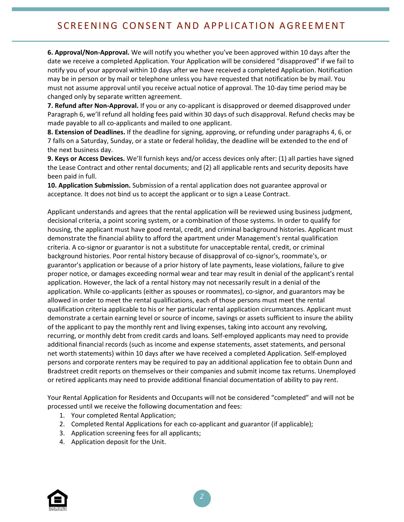## SCREENING CONSENT AND APPLICATION AGREEMENT

**6. Approval/Non-Approval.** We will notify you whether you've been approved within 10 days after the date we receive a completed Application. Your Application will be considered "disapproved" if we fail to notify you of your approval within 10 days after we have received a completed Application. Notification may be in person or by mail or telephone unless you have requested that notification be by mail. You must not assume approval until you receive actual notice of approval. The 10-day time period may be changed only by separate written agreement.

**7. Refund after Non-Approval.** If you or any co-applicant is disapproved or deemed disapproved under Paragraph 6, we'll refund all holding fees paid within 30 days of such disapproval. Refund checks may be made payable to all co-applicants and mailed to one applicant.

**8. Extension of Deadlines.** If the deadline for signing, approving, or refunding under paragraphs 4, 6, or 7 falls on a Saturday, Sunday, or a state or federal holiday, the deadline will be extended to the end of the next business day.

**9. Keys or Access Devices.** We'll furnish keys and/or access devices only after: (1) all parties have signed the Lease Contract and other rental documents; and (2) all applicable rents and security deposits have been paid in full.

**10. Application Submission.** Submission of a rental application does not guarantee approval or acceptance. It does not bind us to accept the applicant or to sign a Lease Contract.

Applicant understands and agrees that the rental application will be reviewed using business judgment, decisional criteria, a point scoring system, or a combination of those systems. In order to qualify for housing, the applicant must have good rental, credit, and criminal background histories. Applicant must demonstrate the financial ability to afford the apartment under Management's rental qualification criteria. A co-signor or guarantor is not a substitute for unacceptable rental, credit, or criminal background histories. Poor rental history because of disapproval of co-signor's, roommate's, or guarantor's application or because of a prior history of late payments, lease violations, failure to give proper notice, or damages exceeding normal wear and tear may result in denial of the applicant's rental application. However, the lack of a rental history may not necessarily result in a denial of the application. While co-applicants (either as spouses or roommates), co-signor, and guarantors may be allowed in order to meet the rental qualifications, each of those persons must meet the rental qualification criteria applicable to his or her particular rental application circumstances. Applicant must demonstrate a certain earning level or source of income, savings or assets sufficient to insure the ability of the applicant to pay the monthly rent and living expenses, taking into account any revolving, recurring, or monthly debt from credit cards and loans. Self-employed applicants may need to provide additional financial records (such as income and expense statements, asset statements, and personal net worth statements) within 10 days after we have received a completed Application. Self-employed persons and corporate renters may be required to pay an additional application fee to obtain Dunn and Bradstreet credit reports on themselves or their companies and submit income tax returns. Unemployed or retired applicants may need to provide additional financial documentation of ability to pay rent.

Your Rental Application for Residents and Occupants will not be considered "completed" and will not be processed until we receive the following documentation and fees:

- 1. Your completed Rental Application;
- 2. Completed Rental Applications for each co-applicant and guarantor (if applicable);
- 3. Application screening fees for all applicants;
- 4. Application deposit for the Unit.